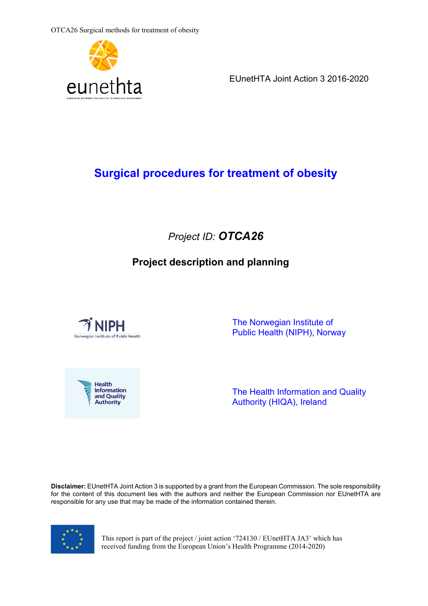

EUnetHTA Joint Action 3 2016-2020

# **Surgical procedures for treatment of obesity**

# *Project ID: OTCA26*

# **Project description and planning**



 The Norwegian Institute of Public Health (NIPH), Norway



The Health Information and Quality Authority (HIQA), Ireland

**Disclaimer:** EUnetHTA Joint Action 3 is supported by a grant from the European Commission. The sole responsibility for the content of this document lies with the authors and neither the European Commission nor EUnetHTA are responsible for any use that may be made of the information contained therein.



This report is part of the project / joint action '724130 / EUnetHTA JA3' which has received funding from the European Union's Health Programme (2014-2020)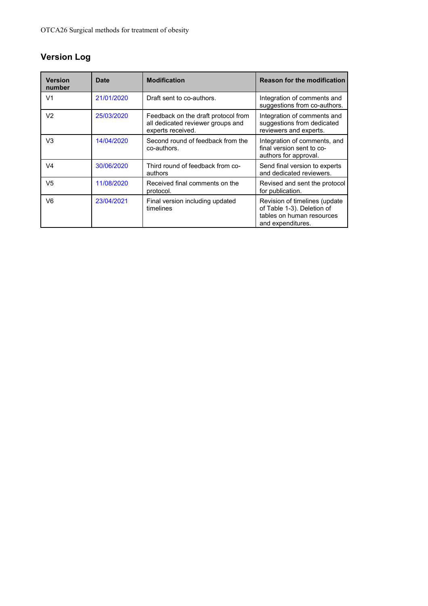# **Version Log**

| <b>Version</b><br>number | Date       | <b>Modification</b>                                                                           | <b>Reason for the modification</b>                                                                            |
|--------------------------|------------|-----------------------------------------------------------------------------------------------|---------------------------------------------------------------------------------------------------------------|
| V <sub>1</sub>           | 21/01/2020 | Draft sent to co-authors.                                                                     | Integration of comments and<br>suggestions from co-authors.                                                   |
| V <sub>2</sub>           | 25/03/2020 | Feedback on the draft protocol from<br>all dedicated reviewer groups and<br>experts received. | Integration of comments and<br>suggestions from dedicated<br>reviewers and experts.                           |
| V <sub>3</sub>           | 14/04/2020 | Second round of feedback from the<br>co-authors.                                              | Integration of comments, and<br>final version sent to co-<br>authors for approval.                            |
| V <sub>4</sub>           | 30/06/2020 | Third round of feedback from co-<br>authors                                                   | Send final version to experts<br>and dedicated reviewers.                                                     |
| V5                       | 11/08/2020 | Received final comments on the<br>protocol.                                                   | Revised and sent the protocol<br>for publication.                                                             |
| V6                       | 23/04/2021 | Final version including updated<br>timelines                                                  | Revision of timelines (update<br>of Table 1-3). Deletion of<br>tables on human resources<br>and expenditures. |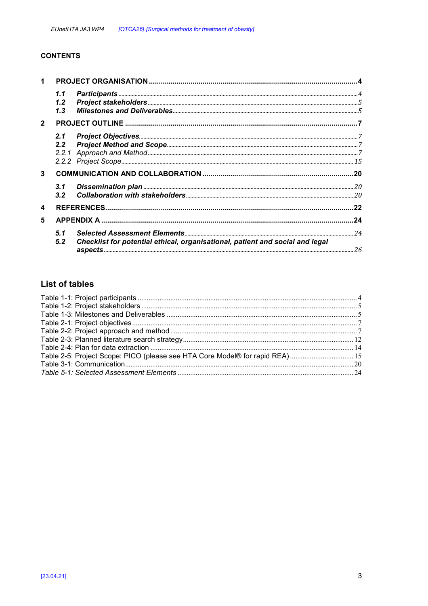### **CONTENTS**

| 1            |                             |                                                                               |  |
|--------------|-----------------------------|-------------------------------------------------------------------------------|--|
|              | 1.1<br>$1.2^{\circ}$<br>1.3 |                                                                               |  |
| $\mathbf{2}$ |                             |                                                                               |  |
|              | 2.1<br>2.2                  |                                                                               |  |
| 3            |                             |                                                                               |  |
|              | 3.1<br>3.2                  |                                                                               |  |
| 4            |                             |                                                                               |  |
| 5            |                             |                                                                               |  |
|              | 5.1<br>5.2                  | Checklist for potential ethical, organisational, patient and social and legal |  |

## **List of tables**

| Table 2-5: Project Scope: PICO (please see HTA Core Model® for rapid REA) 15 |  |
|------------------------------------------------------------------------------|--|
|                                                                              |  |
|                                                                              |  |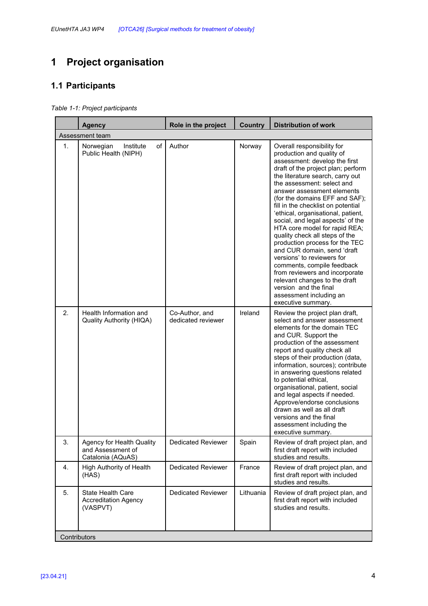# **1 Project organisation**

## **1.1 Participants**

*Table 1-1: Project participants* 

|                | <b>Agency</b>                                                       | Role in the project                  | <b>Country</b> | <b>Distribution of work</b>                                                                                                                                                                                                                                                                                                                                                                                                                                                                                                                                                                                                                                                                                                    |  |
|----------------|---------------------------------------------------------------------|--------------------------------------|----------------|--------------------------------------------------------------------------------------------------------------------------------------------------------------------------------------------------------------------------------------------------------------------------------------------------------------------------------------------------------------------------------------------------------------------------------------------------------------------------------------------------------------------------------------------------------------------------------------------------------------------------------------------------------------------------------------------------------------------------------|--|
|                | Assessment team                                                     |                                      |                |                                                                                                                                                                                                                                                                                                                                                                                                                                                                                                                                                                                                                                                                                                                                |  |
| 1.             | οf<br>Norwegian<br>Institute<br>Public Health (NIPH)                | Author                               | Norway         | Overall responsibility for<br>production and quality of<br>assessment: develop the first<br>draft of the project plan; perform<br>the literature search, carry out<br>the assessment: select and<br>answer assessment elements<br>(for the domains EFF and SAF);<br>fill in the checklist on potential<br>'ethical, organisational, patient,<br>social, and legal aspects' of the<br>HTA core model for rapid REA;<br>quality check all steps of the<br>production process for the TEC<br>and CUR domain, send 'draft<br>versions' to reviewers for<br>comments, compile feedback<br>from reviewers and incorporate<br>relevant changes to the draft<br>version and the final<br>assessment including an<br>executive summary. |  |
| 2.             | Health Information and<br><b>Quality Authority (HIQA)</b>           | Co-Author, and<br>dedicated reviewer | Ireland        | Review the project plan draft,<br>select and answer assessment<br>elements for the domain TEC<br>and CUR. Support the<br>production of the assessment<br>report and quality check all<br>steps of their production (data,<br>information, sources); contribute<br>in answering questions related<br>to potential ethical,<br>organisational, patient, social<br>and legal aspects if needed.<br>Approve/endorse conclusions<br>drawn as well as all draft<br>versions and the final<br>assessment including the<br>executive summary.                                                                                                                                                                                          |  |
| 3.             | Agency for Health Quality<br>and Assessment of<br>Catalonia (AQuAS) | <b>Dedicated Reviewer</b>            | Spain          | Review of draft project plan, and<br>first draft report with included<br>studies and results.                                                                                                                                                                                                                                                                                                                                                                                                                                                                                                                                                                                                                                  |  |
| $\mathbf{4}$ . | High Authority of Health<br>(HAS)                                   | <b>Dedicated Reviewer</b>            | France         | Review of draft project plan, and<br>first draft report with included<br>studies and results.                                                                                                                                                                                                                                                                                                                                                                                                                                                                                                                                                                                                                                  |  |
| 5.             | <b>State Health Care</b><br><b>Accreditation Agency</b><br>(VASPVT) | <b>Dedicated Reviewer</b>            | Lithuania      | Review of draft project plan, and<br>first draft report with included<br>studies and results.                                                                                                                                                                                                                                                                                                                                                                                                                                                                                                                                                                                                                                  |  |
|                | Contributors                                                        |                                      |                |                                                                                                                                                                                                                                                                                                                                                                                                                                                                                                                                                                                                                                                                                                                                |  |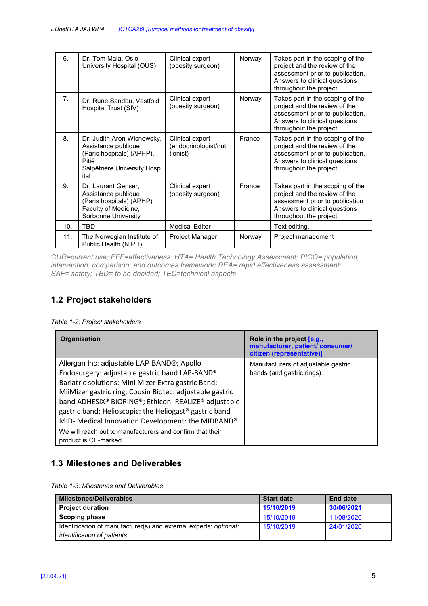| 6.  | Dr. Tom Mala, Oslo<br>University Hospital (OUS)                                                                                | Clinical expert<br>(obesity surgeon)                  | Norway | Takes part in the scoping of the<br>project and the review of the<br>assessment prior to publication.<br>Answers to clinical questions<br>throughout the project. |
|-----|--------------------------------------------------------------------------------------------------------------------------------|-------------------------------------------------------|--------|-------------------------------------------------------------------------------------------------------------------------------------------------------------------|
| 7.  | Dr. Rune Sandbu, Vestfold<br>Hospital Trust (SIV)                                                                              | Clinical expert<br>(obesity surgeon)                  | Norway | Takes part in the scoping of the<br>project and the review of the<br>assessment prior to publication.<br>Answers to clinical questions<br>throughout the project. |
| 8.  | Dr. Judith Aron-Wisnewsky,<br>Assistance publique<br>(Paris hospitals) (APHP),<br>Pitié<br>Salpêtrière University Hosp<br>ital | Clinical expert<br>(endocrinologist/nutri<br>tionist) | France | Takes part in the scoping of the<br>project and the review of the<br>assessment prior to publication.<br>Answers to clinical questions<br>throughout the project. |
| 9.  | Dr. Laurant Genser,<br>Assistance publique<br>(Paris hospitals) (APHP),<br>Faculty of Medicine,<br>Sorbonne University         | Clinical expert<br>(obesity surgeon)                  | France | Takes part in the scoping of the<br>project and the review of the<br>assessment prior to publication<br>Answers to clinical questions<br>throughout the project.  |
| 10. | TBD                                                                                                                            | <b>Medical Editor</b>                                 |        | Text editing.                                                                                                                                                     |
| 11. | The Norwegian Institute of<br>Public Health (NIPH)                                                                             | Project Manager                                       | Norway | Project management                                                                                                                                                |

*CUR=current use; EFF=effectiveness: HTA= Health Technology Assessment; PICO= population, intervention, comparison, and outcomes framework; REA= rapid effectiveness assessment: SAF= safety; TBD= to be decided; TEC=technical aspects* 

## **1.2 Project stakeholders**

*Table 1-2: Project stakeholders* 

| <b>Organisation</b>                                                                                                                                                                                                                                                                                                                                                                                                                                                          | Role in the project [e.g.,<br>manufacturer, patient/ consumer/<br>citizen (representative)] |
|------------------------------------------------------------------------------------------------------------------------------------------------------------------------------------------------------------------------------------------------------------------------------------------------------------------------------------------------------------------------------------------------------------------------------------------------------------------------------|---------------------------------------------------------------------------------------------|
| Allergan Inc: adjustable LAP BAND®; Apollo<br>Endosurgery: adjustable gastric band LAP-BAND®<br>Bariatric solutions: Mini Mizer Extra gastric Band;<br>MiiMizer gastric ring; Cousin Biotec: adjustable gastric<br>band ADHESIX® BIORING®; Ethicon: REALIZE® adjustable<br>gastric band; Helioscopic: the Heliogast® gastric band<br>MID- Medical Innovation Development: the MIDBAND®<br>We will reach out to manufacturers and confirm that their<br>product is CE-marked. | Manufacturers of adjustable gastric<br>bands (and gastric rings)                            |

## **1.3 Milestones and Deliverables**

*Table 1-3: Milestones and Deliverables* 

| <b>Milestones/Deliverables</b>                                    | <b>Start date</b> | <b>End date</b> |
|-------------------------------------------------------------------|-------------------|-----------------|
| <b>Project duration</b>                                           | 15/10/2019        | 30/06/2021      |
| <b>Scoping phase</b>                                              | 15/10/2019        | 11/08/2020      |
| Identification of manufacturer(s) and external experts; optional: | 15/10/2019        | 24/01/2020      |
| <i>identification of patients</i>                                 |                   |                 |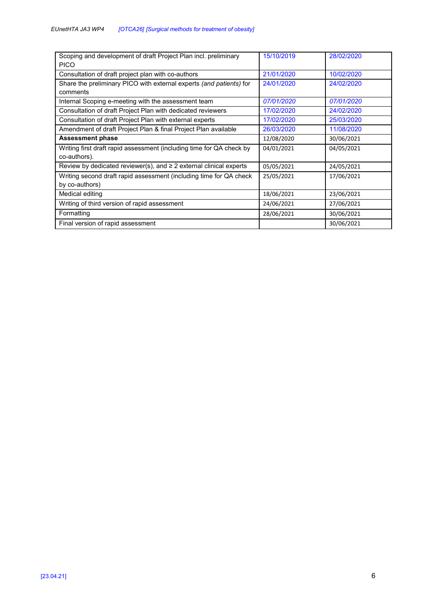| Scoping and development of draft Project Plan incl. preliminary<br><b>PICO</b> | 15/10/2019 | 28/02/2020 |
|--------------------------------------------------------------------------------|------------|------------|
| Consultation of draft project plan with co-authors                             | 21/01/2020 | 10/02/2020 |
| Share the preliminary PICO with external experts (and patients) for            | 24/01/2020 | 24/02/2020 |
| comments                                                                       |            |            |
| Internal Scoping e-meeting with the assessment team                            | 07/01/2020 | 07/01/2020 |
| Consultation of draft Project Plan with dedicated reviewers                    | 17/02/2020 | 24/02/2020 |
| Consultation of draft Project Plan with external experts                       | 17/02/2020 | 25/03/2020 |
| Amendment of draft Project Plan & final Project Plan available                 | 26/03/2020 | 11/08/2020 |
| <b>Assessment phase</b>                                                        | 12/08/2020 | 30/06/2021 |
| Writing first draft rapid assessment (including time for QA check by           | 04/01/2021 | 04/05/2021 |
| co-authors).                                                                   |            |            |
| Review by dedicated reviewer(s), and $\geq 2$ external clinical experts        | 05/05/2021 | 24/05/2021 |
| Writing second draft rapid assessment (including time for QA check             | 25/05/2021 | 17/06/2021 |
| by co-authors)                                                                 |            |            |
| Medical editing                                                                | 18/06/2021 | 23/06/2021 |
| Writing of third version of rapid assessment                                   | 24/06/2021 | 27/06/2021 |
| Formatting                                                                     | 28/06/2021 | 30/06/2021 |
| Final version of rapid assessment                                              |            | 30/06/2021 |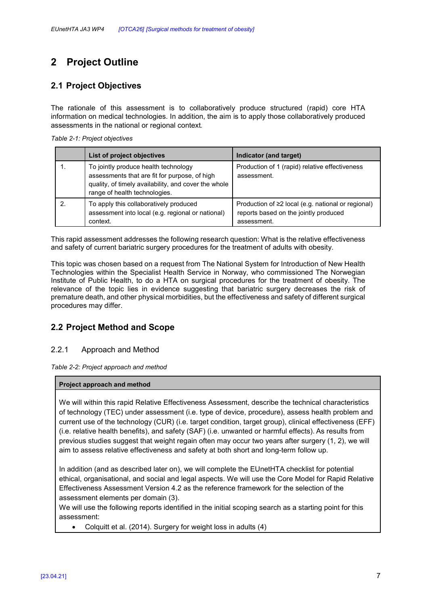# **2 Project Outline**

## **2.1 Project Objectives**

The rationale of this assessment is to collaboratively produce structured (rapid) core HTA information on medical technologies. In addition, the aim is to apply those collaboratively produced assessments in the national or regional context*.* 

| List of project objectives                                                                                                                                                     | Indicator (and target)                                                                                           |
|--------------------------------------------------------------------------------------------------------------------------------------------------------------------------------|------------------------------------------------------------------------------------------------------------------|
| To jointly produce health technology<br>assessments that are fit for purpose, of high<br>quality, of timely availability, and cover the whole<br>range of health technologies. | Production of 1 (rapid) relative effectiveness<br>assessment.                                                    |
| To apply this collaboratively produced<br>assessment into local (e.g. regional or national)<br>context.                                                                        | Production of $\geq 2$ local (e.g. national or regional)<br>reports based on the jointly produced<br>assessment. |

This rapid assessment addresses the following research question: What is the relative effectiveness and safety of current bariatric surgery procedures for the treatment of adults with obesity.

This topic was chosen based on a request from The National System for Introduction of New Health Technologies within the Specialist Health Service in Norway, who commissioned The Norwegian Institute of Public Health, to do a HTA on surgical procedures for the treatment of obesity. The relevance of the topic lies in evidence suggesting that bariatric surgery decreases the risk of premature death, and other physical morbidities, but the effectiveness and safety of different surgical procedures may differ.

## **2.2 Project Method and Scope**

#### 2.2.1 Approach and Method

*Table 2-2: Project approach and method* 

#### **Project approach and method**

We will within this rapid Relative Effectiveness Assessment, describe the technical characteristics of technology (TEC) under assessment (i.e. type of device, procedure), assess health problem and current use of the technology (CUR) (i.e. target condition, target group), clinical effectiveness (EFF) (i.e. relative health benefits), and safety (SAF) (i.e. unwanted or harmful effects). As results from previous studies suggest that weight regain often may occur two years after surgery (1, 2), we will aim to assess relative effectiveness and safety at both short and long-term follow up.

In addition (and as described later on), we will complete the EUnetHTA checklist for potential ethical, organisational, and social and legal aspects. We will use the Core Model for Rapid Relative Effectiveness Assessment Version 4.2 as the reference framework for the selection of the assessment elements per domain (3).

We will use the following reports identified in the initial scoping search as a starting point for this assessment:

• Colquitt et al. (2014). Surgery for weight loss in adults (4)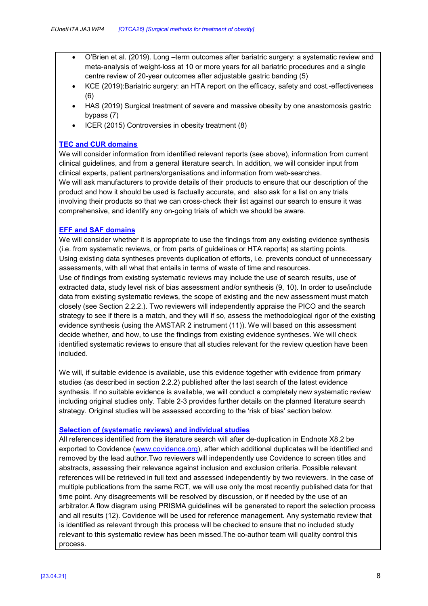- O'Brien et al. (2019). Long –term outcomes after bariatric surgery: a systematic review and meta-analysis of weight-loss at 10 or more years for all bariatric procedures and a single centre review of 20-year outcomes after adjustable gastric banding (5)
- KCE (2019):Bariatric surgery: an HTA report on the efficacy, safety and cost.-effectiveness (6)
- HAS (2019) Surgical treatment of severe and massive obesity by one anastomosis gastric bypass (7)
- ICER (2015) Controversies in obesity treatment (8)

#### **TEC and CUR domains**

We will consider information from identified relevant reports (see above), information from current clinical guidelines, and from a general literature search. In addition, we will consider input from clinical experts, patient partners/organisations and information from web-searches. We will ask manufacturers to provide details of their products to ensure that our description of the product and how it should be used is factually accurate, and also ask for a list on any trials involving their products so that we can cross-check their list against our search to ensure it was comprehensive, and identify any on-going trials of which we should be aware.

#### **EFF and SAF domains**

We will consider whether it is appropriate to use the findings from any existing evidence synthesis (i.e. from systematic reviews, or from parts of guidelines or HTA reports) as starting points. Using existing data syntheses prevents duplication of efforts, i.e. prevents conduct of unnecessary assessments, with all what that entails in terms of waste of time and resources.

Use of findings from existing systematic reviews may include the use of search results, use of extracted data, study level risk of bias assessment and/or synthesis (9, 10). In order to use/include data from existing systematic reviews, the scope of existing and the new assessment must match closely (see Section 2.2.2.). Two reviewers will independently appraise the PICO and the search strategy to see if there is a match, and they will if so, assess the methodological rigor of the existing evidence synthesis (using the AMSTAR 2 instrument (11)). We will based on this assessment decide whether, and how, to use the findings from existing evidence syntheses. We will check identified systematic reviews to ensure that all studies relevant for the review question have been included.

We will, if suitable evidence is available, use this evidence together with evidence from primary studies (as described in section 2.2.2) published after the last search of the latest evidence synthesis. If no suitable evidence is available, we will conduct a completely new systematic review including original studies only. Table 2-3 provides further details on the planned literature search strategy. Original studies will be assessed according to the 'risk of bias' section below.

#### **Selection of (systematic reviews) and individual studies**

All references identified from the literature search will after de-duplication in Endnote X8.2 be exported to Covidence (www.covidence.org), after which additional duplicates will be identified and removed by the lead author.Two reviewers will independently use Covidence to screen titles and abstracts, assessing their relevance against inclusion and exclusion criteria. Possible relevant references will be retrieved in full text and assessed independently by two reviewers. In the case of multiple publications from the same RCT, we will use only the most recently published data for that time point. Any disagreements will be resolved by discussion, or if needed by the use of an arbitrator.A flow diagram using PRISMA guidelines will be generated to report the selection process and all results (12). Covidence will be used for reference management. Any systematic review that is identified as relevant through this process will be checked to ensure that no included study relevant to this systematic review has been missed.The co-author team will quality control this process.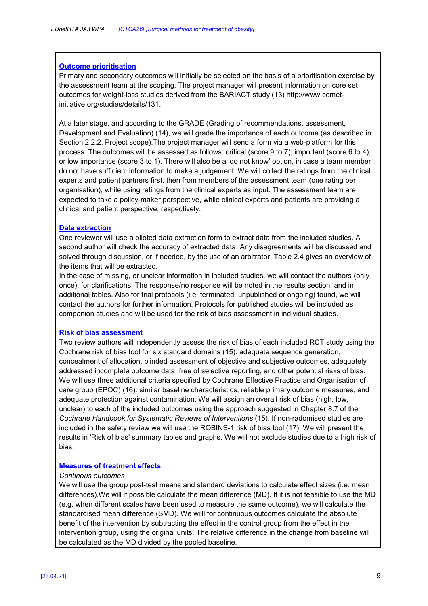#### **Outcome prioritisation**

Primary and secondary outcomes will initially be selected on the basis of a prioritisation exercise by the assessment team at the scoping. The project manager will present information on core set outcomes for weight-loss studies derived from the BARIACT study (13) http://www.cometinitiative.org/studies/details/131.

At a later stage, and according to the GRADE (Grading of recommendations, assessment, Development and Evaluation) (14), we will grade the importance of each outcome (as described in Section 2.2.2. Project scope).The project manager will send a form via a web-platform for this process. The outcomes will be assessed as follows: critical (score 9 to 7); important (score 6 to 4), or low importance (score 3 to 1). There will also be a 'do not know' option, in case a team member do not have sufficient information to make a judgement. We will collect the ratings from the clinical experts and patient partners first, then from members of the assessment team (one rating per organisation), while using ratings from the clinical experts as input. The assessment team are expected to take a policy-maker perspective, while clinical experts and patients are providing a clinical and patient perspective, respectively.

#### **Data extraction**

One reviewer will use a piloted data extraction form to extract data from the included studies. A second author will check the accuracy of extracted data. Any disagreements will be discussed and solved through discussion, or if needed, by the use of an arbitrator. Table 2.4 gives an overview of the items that will be extracted.

In the case of missing, or unclear information in included studies, we will contact the authors (only once), for clarifications. The response/no response will be noted in the results section, and in additional tables. Also for trial protocols (i.e. terminated, unpublished or ongoing) found, we will contact the authors for further information. Protocols for published studies will be included as companion studies and will be used for the risk of bias assessment in individual studies.

#### **Risk of bias assessment**

Two review authors will independently assess the risk of bias of each included RCT study using the Cochrane risk of bias tool for six standard domains (15): adequate sequence generation, concealment of allocation, blinded assessment of objective and subjective outcomes, adequately addressed incomplete outcome data, free of selective reporting, and other potential risks of bias. We will use three additional criteria specified by Cochrane Effective Practice and Organisation of care group (EPOC) (16): similar baseline characteristics, reliable primary outcome measures, and adequate protection against contamination. We will assign an overall risk of bias (high, low, unclear) to each of the included outcomes using the approach suggested in Chapter 8.7 of the *Cochrane Handbook for Systematic Reviews of Interventions* (15). If non-radomised studies are included in the safety review we will use the ROBINS-1 risk of bias tool (17). We will present the results in 'Risk of bias' summary tables and graphs. We will not exclude studies due to a high risk of bias.

#### **Measures of treatment effects**

#### *Continous outcomes*

We will use the group post-test means and standard deviations to calculate effect sizes (i.e. mean differences).We will if possible calculate the mean difference (MD). If it is not feasible to use the MD (e.g. when different scales have been used to measure the same outcome), we will calculate the standardised mean difference (SMD). We willl for continuous outcomes calculate the absolute benefit of the intervention by subtracting the effect in the control group from the effect in the intervention group, using the original units. The relative difference in the change from baseline will be calculated as the MD divided by the pooled baseline.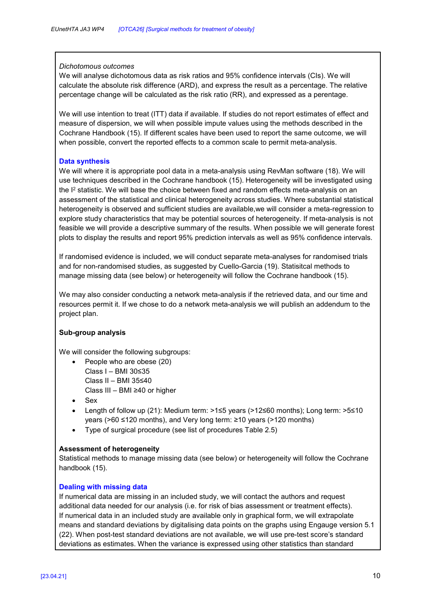#### *Dichotomous outcomes*

We will analyse dichotomous data as risk ratios and 95% confidence intervals (CIs). We will calculate the absolute risk difference (ARD), and express the result as a percentage. The relative percentage change will be calculated as the risk ratio (RR), and expressed as a perentage.

We will use intention to treat (ITT) data if available. If studies do not report estimates of effect and measure of dispersion, we will when possible impute values using the methods described in the Cochrane Handbook (15). If different scales have been used to report the same outcome, we will when possible, convert the reported effects to a common scale to permit meta-analysis.

#### **Data synthesis**

We will where it is appropriate pool data in a meta-analysis using RevMan software (18). We will use techniques described in the Cochrane handbook (15). Heterogeneity will be investigated using the I<sup>2</sup> statistic. We will base the choice between fixed and random effects meta-analysis on an assessment of the statistical and clinical heterogeneity across studies. Where substantial statistical heterogeneity is observed and sufficient studies are available,we will consider a meta-regression to explore study characteristics that may be potential sources of heterogeneity. If meta-analysis is not feasible we will provide a descriptive summary of the results. When possible we will generate forest plots to display the results and report 95% prediction intervals as well as 95% confidence intervals.

If randomised evidence is included, we will conduct separate meta-analyses for randomised trials and for non-randomised studies, as suggested by Cuello-Garcia (19). Statisitcal methods to manage missing data (see below) or heterogeneity will follow the Cochrane handbook (15).

We may also consider conducting a network meta-analysis if the retrieved data, and our time and resources permit it. If we chose to do a network meta-analysis we will publish an addendum to the project plan.

#### **Sub-group analysis**

We will consider the following subgroups:

- People who are obese (20) Class I – BMI 30≤35 Class II – BMI 35≤40 Class III – BMI ≥40 or higher
- Sex
- Length of follow up (21): Medium term: >1≤5 years (>12≤60 months); Long term: >5≤10 years (>60 ≤120 months), and Very long term: ≥10 years (>120 months)
- Type of surgical procedure (see list of procedures Table 2.5)

#### **Assessment of heterogeneity**

Statistical methods to manage missing data (see below) or heterogeneity will follow the Cochrane handbook (15).

#### **Dealing with missing data**

If numerical data are missing in an included study, we will contact the authors and request additional data needed for our analysis (i.e. for risk of bias assessment or treatment effects). If numerical data in an included study are available only in graphical form, we will extrapolate means and standard deviations by digitalising data points on the graphs using Engauge version 5.1 (22). When post-test standard deviations are not available, we will use pre-test score's standard deviations as estimates. When the variance is expressed using other statistics than standard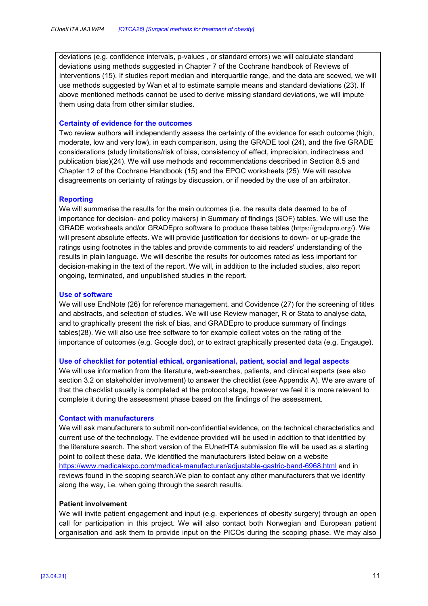deviations (e.g. confidence intervals, p-values , or standard errors) we will calculate standard deviations using methods suggested in Chapter 7 of the Cochrane handbook of Reviews of Interventions (15). If studies report median and interquartile range, and the data are scewed, we will use methods suggested by Wan et al to estimate sample means and standard deviations (23). If above mentioned methods cannot be used to derive missing standard deviations, we will impute them using data from other similar studies.

#### **Certainty of evidence for the outcomes**

Two review authors will independently assess the certainty of the evidence for each outcome (high, moderate, low and very low), in each comparison, using the GRADE tool (24), and the five GRADE considerations (study limitations/risk of bias, consistency of effect, imprecision, indirectness and publication bias)(24). We will use methods and recommendations described in Section 8.5 and Chapter 12 of the Cochrane Handbook (15) and the EPOC worksheets (25). We will resolve disagreements on certainty of ratings by discussion, or if needed by the use of an arbitrator.

#### **Reporting**

We will summarise the results for the main outcomes (i.e. the results data deemed to be of importance for decision- and policy makers) in Summary of findings (SOF) tables. We will use the GRADE worksheets and/or GRADEpro software to produce these tables (https://gradepro.org/). We will present absolute effects. We will provide justification for decisions to down- or up-grade the ratings using footnotes in the tables and provide comments to aid readers' understanding of the results in plain language. We will describe the results for outcomes rated as less important for decision-making in the text of the report. We will, in addition to the included studies, also report ongoing, terminated, and unpublished studies in the report.

#### **Use of software**

We will use EndNote (26) for reference management, and Covidence (27) for the screening of titles and abstracts, and selection of studies. We will use Review manager, R or Stata to analyse data, and to graphically present the risk of bias, and GRADEpro to produce summary of findings tables(28). We will also use free software to for example collect votes on the rating of the importance of outcomes (e.g. Google doc), or to extract graphically presented data (e.g. Engauge).

#### **Use of checklist for potential ethical, organisational, patient, social and legal aspects**

We will use information from the literature, web-searches, patients, and clinical experts (see also section 3.2 on stakeholder involvement) to answer the checklist (see Appendix A). We are aware of that the checklist usually is completed at the protocol stage, however we feel it is more relevant to complete it during the assessment phase based on the findings of the assessment.

#### **Contact with manufacturers**

We will ask manufacturers to submit non-confidential evidence, on the technical characteristics and current use of the technology. The evidence provided will be used in addition to that identified by the literature search. The short version of the EUnetHTA submission file will be used as a starting point to collect these data. We identified the manufacturers listed below on a website https://www.medicalexpo.com/medical-manufacturer/adjustable-gastric-band-6968.html and in reviews found in the scoping search.We plan to contact any other manufacturers that we identify along the way, i.e. when going through the search results.

#### **Patient involvement**

We will invite patient engagement and input (e.g. experiences of obesity surgery) through an open call for participation in this project. We will also contact both Norwegian and European patient organisation and ask them to provide input on the PICOs during the scoping phase. We may also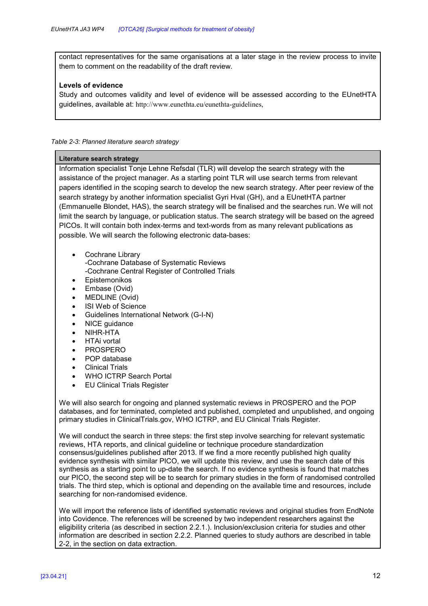contact representatives for the same organisations at a later stage in the review process to invite them to comment on the readability of the draft review.

#### **Levels of evidence**

Study and outcomes validity and level of evidence will be assessed according to the EUnetHTA guidelines, available at: http://www.eunethta.eu/eunethta-guidelines,

#### *Table 2-3: Planned literature search strategy*

#### **Literature search strategy**

Information specialist Tonje Lehne Refsdal (TLR) will develop the search strategy with the assistance of the project manager. As a starting point TLR will use search terms from relevant papers identified in the scoping search to develop the new search strategy. After peer review of the search strategy by another information specialist Gyri Hval (GH), and a EUnetHTA partner (Emmanuelle Blondet, HAS), the search strategy will be finalised and the searches run. We will not limit the search by language, or publication status. The search strategy will be based on the agreed PICOs. It will contain both index-terms and text-words from as many relevant publications as possible. We will search the following electronic data-bases:

• Cochrane Library

-Cochrane Database of Systematic Reviews -Cochrane Central Register of Controlled Trials

- **Epistemonikos**
- Embase (Ovid)
- MEDLINE (Ovid)
- **ISI Web of Science**
- Guidelines International Network (G-I-N)
- NICE guidance
- NIHR-HTA
- HTAi vortal
- PROSPERO
- POP database
- Clinical Trials
- WHO ICTRP Search Portal
- EU Clinical Trials Register

We will also search for ongoing and planned systematic reviews in PROSPERO and the POP databases, and for terminated, completed and published, completed and unpublished, and ongoing primary studies in ClinicalTrials.gov, WHO ICTRP, and EU Clinical Trials Register.

We will conduct the search in three steps: the first step involve searching for relevant systematic reviews, HTA reports, and clinical guideline or technique procedure standardization consensus/guidelines published after 2013. If we find a more recently published high quality evidence synthesis with similar PICO, we will update this review, and use the search date of this synthesis as a starting point to up-date the search. If no evidence synthesis is found that matches our PICO, the second step will be to search for primary studies in the form of randomised controlled trials. The third step, which is optional and depending on the available time and resources, include searching for non-randomised evidence.

We will import the reference lists of identified systematic reviews and original studies from EndNote into Covidence. The references will be screened by two independent researchers against the eligibility criteria (as described in section 2.2.1.). Inclusion/exclusion criteria for studies and other information are described in section 2.2.2. Planned queries to study authors are described in table 2-2, in the section on data extraction.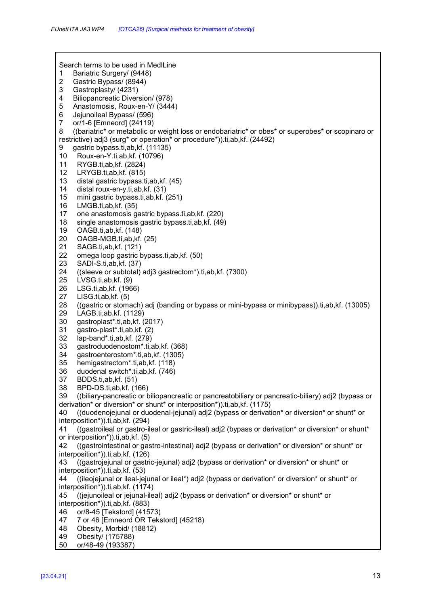Search terms to be used in MedlLine 1 Bariatric Surgery/ (9448) 2 Gastric Bypass/ (8944) 3 Gastroplasty/ (4231)<br>4 Biliopancreatic Diver 4 Biliopancreatic Diversion/ (978)<br>5 Anastomosis, Roux-en-Y/ (3444 5 Anastomosis, Roux-en-Y/ (3444) 6 Jejunoileal Bypass/ (596) 7 or/1-6 [Emneord] (24119) 8 ((bariatric\* or metabolic or weight loss or endobariatric\* or obes\* or superobes\* or scopinaro or restrictive) adj3 (surg\* or operation\* or procedure\*)).ti,ab,kf. (24492) 9 gastric bypass.ti,ab,kf. (11135) 10 Roux-en-Y.ti,ab,kf. (10796) 11 RYGB.ti,ab,kf. (2824) 12 LRYGB.ti,ab,kf. (815) 13 distal gastric bypass.ti,ab,kf. (45) 14 distal roux-en-y.ti,ab,kf. (31) 15 mini gastric bypass.ti,ab,kf. (251) 16 LMGB.ti,ab,kf. (35) 17 one anastomosis gastric bypass.ti,ab,kf. (220) 18 single anastomosis gastric bypass.ti,ab,kf. (49) 19 OAGB.ti,ab,kf. (148) 20 OAGB-MGB.ti,ab,kf. (25) 21 SAGB.ti,ab,kf. (121)<br>22 omega loop gastric b 22 omega loop gastric bypass.ti,ab,kf. (50)<br>23 SADI-S.ti.ab.kf. (37) 23 SADI-S.ti,ab,kf. (37)<br>24 ((sleeve or subtotal) 24 ((sleeve or subtotal) adj3 gastrectom\*).ti,ab,kf. (7300)<br>25 LVSG.ti,ab,kf. (9) LVSG.ti,ab,kf. (9) 26 LSG.ti,ab,kf. (1966) 27 LISG.ti,ab,kf. (5) 28 ((gastric or stomach) adj (banding or bypass or mini-bypass or minibypass)).ti,ab,kf. (13005) 29 LAGB.ti,ab,kf. (1129) 30 gastroplast\*.ti,ab,kf. (2017) 31 gastro-plast\*.ti,ab,kf. (2) 32 lap-band\*.ti,ab,kf. (279) 33 gastroduodenostom\*.ti,ab,kf. (368) 34 gastroenterostom\*.ti,ab,kf. (1305) 35 hemigastrectom\*.ti,ab,kf. (118) 36 duodenal switch\*.ti,ab,kf. (746) 37 BDDS.ti,ab,kf. (51) 38 BPD-DS.ti,ab,kf. (166) 39 ((biliary-pancreatic or biliopancreatic or pancreatobiliary or pancreatic-biliary) adj2 (bypass or derivation\* or diversion\* or shunt\* or interposition\*)).ti,ab,kf. (1175) 40 ((duodenojejunal or duodenal-jejunal) adj2 (bypass or derivation\* or diversion\* or shunt\* or interposition\*)).ti,ab,kf. (294) 41 ((gastroileal or gastro-ileal or gastric-ileal) adj2 (bypass or derivation\* or diversion\* or shunt\* or interposition\*)).ti,ab,kf. (5) 42 ((gastrointestinal or gastro-intestinal) adj2 (bypass or derivation\* or diversion\* or shunt\* or interposition\*)).ti,ab,kf. (126) 43 ((gastrojejunal or gastric-jejunal) adj2 (bypass or derivation\* or diversion\* or shunt\* or interposition\*)).ti,ab,kf. (53) 44 ((ileojejunal or ileal-jejunal or ileal\*) adj2 (bypass or derivation\* or diversion\* or shunt\* or interposition\*)).ti,ab,kf. (1174) 45 ((jejunoileal or jejunal-ileal) adj2 (bypass or derivation\* or diversion\* or shunt\* or interposition\*)).ti,ab,kf. (883) 46 or/8-45 [Tekstord] (41573) 47 7 or 46 [Emneord OR Tekstord] (45218) 48 Obesity, Morbid/ (18812) 49 Obesity/ (175788) 50 or/48-49 (193387)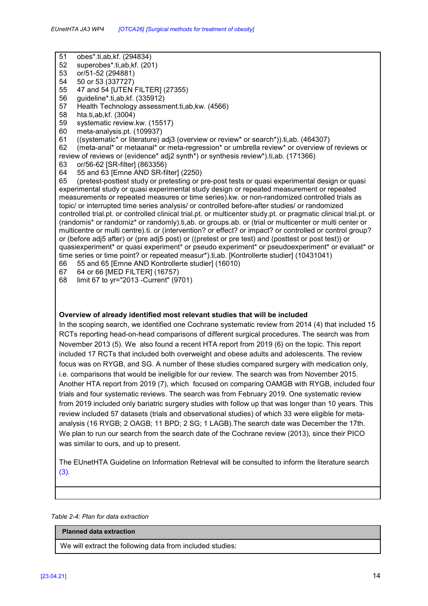- 51 obes\*.ti,ab,kf. (294834)
- 52 superobes\*.ti,ab,kf. (201)
- 53 or/51-52 (294881)
- 54 50 or 53 (337727)
- 55 47 and 54 [UTEN FILTER] (27355)<br>56 quideline\* ti ab kf (335912)
- 56 guideline\*.ti,ab,kf. (335912)
- 57 Health Technology assessment.ti,ab,kw. (4566)
- 58 hta.ti,ab,kf. (3004)
- 59 systematic review.kw. (15517)
- 60 meta-analysis.pt. (109937)
- 61 ((systematic\* or literature) adj3 (overview or review\* or search\*)).ti,ab. (464307)<br>62 (meta-anal\* or metaanal\* or meta-regression\* or umbrella review\* or overview or
- 62 (meta-anal\* or metaanal\* or meta-regression\* or umbrella review\* or overview of reviews or review of reviews or (evidence\* adj2 synth\*) or synthesis review\*).ti,ab. (171366)
- 63 or/56-62 [SR-filter] (863356)
- 64 55 and 63 [Emne AND SR-filter] (2250)

65 (pretest-posttest study or pretesting or pre-post tests or quasi experimental design or quasi experimental study or quasi experimental study design or repeated measurement or repeated measurements or repeated measures or time series).kw. or non-randomized controlled trials as topic/ or interrupted time series analysis/ or controlled before-after studies/ or randomized controlled trial.pt. or controlled clinical trial.pt. or multicenter study.pt. or pragmatic clinical trial.pt. or (randomis\* or randomiz\* or randomly).ti,ab. or groups.ab. or (trial or multicenter or multi center or multicentre or multi centre).ti. or (intervention? or effect? or impact? or controlled or control group? or (before adj5 after) or (pre adj5 post) or ((pretest or pre test) and (posttest or post test)) or quasiexperiment\* or quasi experiment\* or pseudo experiment\* or pseudoexperiment\* or evaluat\* or time series or time point? or repeated measur\*).ti,ab. [Kontrollerte studier] (10431041)

66 55 and 65 [Emne AND Kontrollerte studier] (16010)

- 67 64 or 66 [MED FILTER] (16757)
- 68 limit 67 to yr="2013 -Current" (9701)

#### **Overview of already identified most relevant studies that will be included**

In the scoping search, we identified one Cochrane systematic review from 2014 (4) that included 15 RCTs reporting head-on-head comparisons of different surgical procedures. The search was from November 2013 (5). We also found a recent HTA report from 2019 (6) on the topic. This report included 17 RCTs that included both overweight and obese adults and adolescents. The review focus was on RYGB, and SG. A number of these studies compared surgery with medication only, i.e. comparisons that would be ineligible for our review. The search was from November 2015. Another HTA report from 2019 (7), which focused on comparing OAMGB with RYGB, included four trials and four systematic reviews. The search was from February 2019. One systematic review from 2019 included only bariatric surgery studies with follow up that was longer than 10 years. This review included 57 datasets (trials and observational studies) of which 33 were eligible for metaanalysis (16 RYGB; 2 OAGB; 11 BPD; 2 SG; 1 LAGB).The search date was December the 17th. We plan to run our search from the search date of the Cochrane review (2013), since their PICO was similar to ours, and up to present.

The EUnetHTA Guideline on Information Retrieval will be consulted to inform the literature search (3).

*Table 2-4: Plan for data extraction* 

#### **Planned data extraction**

We will extract the following data from included studies: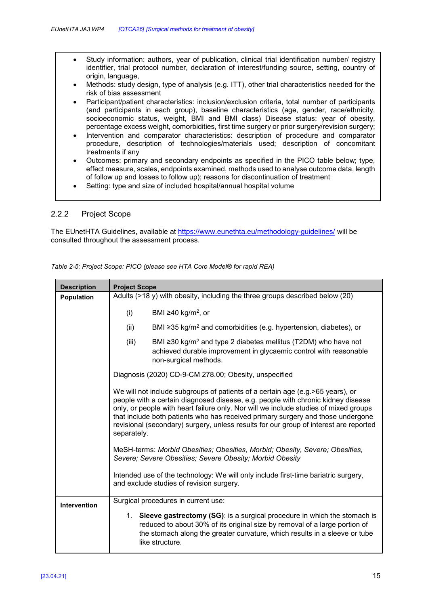- Study information: authors, year of publication, clinical trial identification number/ registry identifier, trial protocol number, declaration of interest/funding source, setting, country of origin, language,
- Methods: study design, type of analysis (e.g. ITT), other trial characteristics needed for the risk of bias assessment
- Participant/patient characteristics: inclusion/exclusion criteria, total number of participants (and participants in each group), baseline characteristics (age, gender, race/ethnicity, socioeconomic status, weight, BMI and BMI class) Disease status: year of obesity, percentage excess weight, comorbidities, first time surgery or prior surgery/revision surgery;
- Intervention and comparator characteristics: description of procedure and comparator procedure, description of technologies/materials used; description of concomitant treatments if any
- Outcomes: primary and secondary endpoints as specified in the PICO table below; type, effect measure, scales, endpoints examined, methods used to analyse outcome data, length of follow up and losses to follow up); reasons for discontinuation of treatment
- Setting: type and size of included hospital/annual hospital volume

### 2.2.2 Project Scope

The EUnetHTA Guidelines, available at https://www.eunethta.eu/methodology-guidelines/ will be consulted throughout the assessment process.

| <b>Description</b> | <b>Project Scope</b>                                                                                                                                                                                                                                                                                                                                                                                                                                   |  |  |
|--------------------|--------------------------------------------------------------------------------------------------------------------------------------------------------------------------------------------------------------------------------------------------------------------------------------------------------------------------------------------------------------------------------------------------------------------------------------------------------|--|--|
| <b>Population</b>  | Adults (>18 y) with obesity, including the three groups described below (20)                                                                                                                                                                                                                                                                                                                                                                           |  |  |
|                    | BMI $\geq$ 40 kg/m <sup>2</sup> , or<br>(i)                                                                                                                                                                                                                                                                                                                                                                                                            |  |  |
|                    | BMI $\geq$ 35 kg/m <sup>2</sup> and comorbidities (e.g. hypertension, diabetes), or<br>(ii)                                                                                                                                                                                                                                                                                                                                                            |  |  |
|                    | (iii)<br>BMI ≥30 kg/m <sup>2</sup> and type 2 diabetes mellitus (T2DM) who have not<br>achieved durable improvement in glycaemic control with reasonable<br>non-surgical methods.                                                                                                                                                                                                                                                                      |  |  |
|                    | Diagnosis (2020) CD-9-CM 278.00; Obesity, unspecified                                                                                                                                                                                                                                                                                                                                                                                                  |  |  |
|                    | We will not include subgroups of patients of a certain age (e.g. >65 years), or<br>people with a certain diagnosed disease, e.g. people with chronic kidney disease<br>only, or people with heart failure only. Nor will we include studies of mixed groups<br>that include both patients who has received primary surgery and those undergone<br>revisional (secondary) surgery, unless results for our group of interest are reported<br>separately. |  |  |
|                    | MeSH-terms: Morbid Obesities; Obesities, Morbid; Obesity, Severe; Obesities,<br>Severe; Severe Obesities; Severe Obesity; Morbid Obesity                                                                                                                                                                                                                                                                                                               |  |  |
|                    | Intended use of the technology: We will only include first-time bariatric surgery,<br>and exclude studies of revision surgery.                                                                                                                                                                                                                                                                                                                         |  |  |
| Intervention       | Surgical procedures in current use:                                                                                                                                                                                                                                                                                                                                                                                                                    |  |  |
|                    | 1. Sleeve gastrectomy (SG): is a surgical procedure in which the stomach is<br>reduced to about 30% of its original size by removal of a large portion of<br>the stomach along the greater curvature, which results in a sleeve or tube<br>like structure.                                                                                                                                                                                             |  |  |

*Table 2-5: Project Scope: PICO (please see HTA Core Model® for rapid REA)*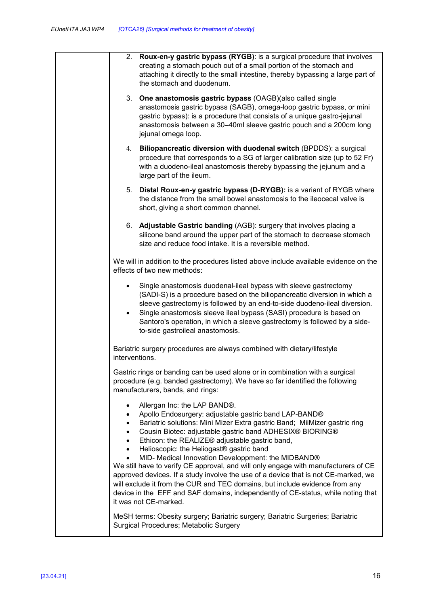| 2. Roux-en-y gastric bypass (RYGB): is a surgical procedure that involves<br>creating a stomach pouch out of a small portion of the stomach and<br>attaching it directly to the small intestine, thereby bypassing a large part of<br>the stomach and duodenum.                                                                                                                                                                                                                                                                                                                                                                                                                                                                                            |
|------------------------------------------------------------------------------------------------------------------------------------------------------------------------------------------------------------------------------------------------------------------------------------------------------------------------------------------------------------------------------------------------------------------------------------------------------------------------------------------------------------------------------------------------------------------------------------------------------------------------------------------------------------------------------------------------------------------------------------------------------------|
| 3. One anastomosis gastric bypass (OAGB)(also called single<br>anastomosis gastric bypass (SAGB), omega-loop gastric bypass, or mini<br>gastric bypass): is a procedure that consists of a unique gastro-jejunal<br>anastomosis between a 30-40ml sleeve gastric pouch and a 200cm long<br>jejunal omega loop.                                                                                                                                                                                                                                                                                                                                                                                                                                             |
| 4. Biliopancreatic diversion with duodenal switch (BPDDS): a surgical<br>procedure that corresponds to a SG of larger calibration size (up to 52 Fr)<br>with a duodeno-ileal anastomosis thereby bypassing the jejunum and a<br>large part of the ileum.                                                                                                                                                                                                                                                                                                                                                                                                                                                                                                   |
| 5. Distal Roux-en-y gastric bypass (D-RYGB): is a variant of RYGB where<br>the distance from the small bowel anastomosis to the ileocecal valve is<br>short, giving a short common channel.                                                                                                                                                                                                                                                                                                                                                                                                                                                                                                                                                                |
| 6. Adjustable Gastric banding (AGB): surgery that involves placing a<br>silicone band around the upper part of the stomach to decrease stomach<br>size and reduce food intake. It is a reversible method.                                                                                                                                                                                                                                                                                                                                                                                                                                                                                                                                                  |
| We will in addition to the procedures listed above include available evidence on the<br>effects of two new methods:                                                                                                                                                                                                                                                                                                                                                                                                                                                                                                                                                                                                                                        |
| Single anastomosis duodenal-ileal bypass with sleeve gastrectomy<br>(SADI-S) is a procedure based on the biliopancreatic diversion in which a<br>sleeve gastrectomy is followed by an end-to-side duodeno-ileal diversion.<br>Single anastomosis sleeve ileal bypass (SASI) procedure is based on<br>$\bullet$<br>Santoro's operation, in which a sleeve gastrectomy is followed by a side-<br>to-side gastroileal anastomosis.                                                                                                                                                                                                                                                                                                                            |
| Bariatric surgery procedures are always combined with dietary/lifestyle<br>interventions.                                                                                                                                                                                                                                                                                                                                                                                                                                                                                                                                                                                                                                                                  |
| Gastric rings or banding can be used alone or in combination with a surgical<br>procedure (e.g. banded gastrectomy). We have so far identified the following<br>manufacturers, bands, and rings:                                                                                                                                                                                                                                                                                                                                                                                                                                                                                                                                                           |
| Allergan Inc: the LAP BAND®.<br>Apollo Endosurgery: adjustable gastric band LAP-BAND®<br>Bariatric solutions: Mini Mizer Extra gastric Band; MiiMizer gastric ring<br>Cousin Biotec: adjustable gastric band ADHESIX® BIORING®<br>Ethicon: the REALIZE® adjustable gastric band,<br>Helioscopic: the Heliogast® gastric band<br>MID- Medical Innovation Developpment: the MIDBAND®<br>We still have to verify CE approval, and will only engage with manufacturers of CE<br>approved devices. If a study involve the use of a device that is not CE-marked, we<br>will exclude it from the CUR and TEC domains, but include evidence from any<br>device in the EFF and SAF domains, independently of CE-status, while noting that<br>it was not CE-marked. |
| MeSH terms: Obesity surgery; Bariatric surgery; Bariatric Surgeries; Bariatric<br>Surgical Procedures; Metabolic Surgery                                                                                                                                                                                                                                                                                                                                                                                                                                                                                                                                                                                                                                   |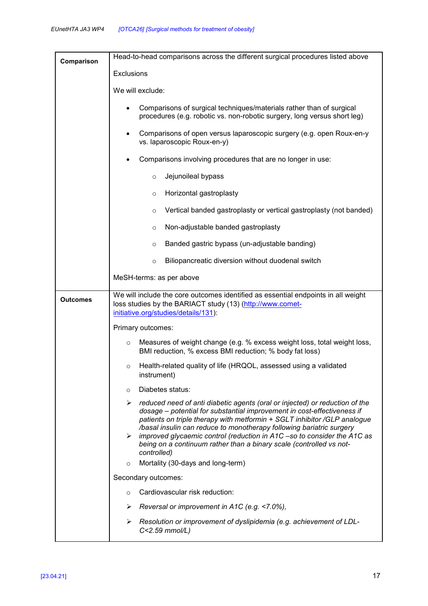| Comparison      | Head-to-head comparisons across the different surgical procedures listed above                                                                                                                                                                                                                                                                                                                                                                                                                                                                                |  |  |  |  |  |
|-----------------|---------------------------------------------------------------------------------------------------------------------------------------------------------------------------------------------------------------------------------------------------------------------------------------------------------------------------------------------------------------------------------------------------------------------------------------------------------------------------------------------------------------------------------------------------------------|--|--|--|--|--|
|                 | Exclusions                                                                                                                                                                                                                                                                                                                                                                                                                                                                                                                                                    |  |  |  |  |  |
|                 | We will exclude:                                                                                                                                                                                                                                                                                                                                                                                                                                                                                                                                              |  |  |  |  |  |
|                 | Comparisons of surgical techniques/materials rather than of surgical<br>procedures (e.g. robotic vs. non-robotic surgery, long versus short leg)                                                                                                                                                                                                                                                                                                                                                                                                              |  |  |  |  |  |
|                 | Comparisons of open versus laparoscopic surgery (e.g. open Roux-en-y<br>vs. laparoscopic Roux-en-y)                                                                                                                                                                                                                                                                                                                                                                                                                                                           |  |  |  |  |  |
|                 | Comparisons involving procedures that are no longer in use:                                                                                                                                                                                                                                                                                                                                                                                                                                                                                                   |  |  |  |  |  |
|                 | Jejunoileal bypass<br>$\circ$                                                                                                                                                                                                                                                                                                                                                                                                                                                                                                                                 |  |  |  |  |  |
|                 | Horizontal gastroplasty<br>$\circ$                                                                                                                                                                                                                                                                                                                                                                                                                                                                                                                            |  |  |  |  |  |
|                 | Vertical banded gastroplasty or vertical gastroplasty (not banded)<br>$\circ$                                                                                                                                                                                                                                                                                                                                                                                                                                                                                 |  |  |  |  |  |
|                 | Non-adjustable banded gastroplasty<br>$\circ$                                                                                                                                                                                                                                                                                                                                                                                                                                                                                                                 |  |  |  |  |  |
|                 | Banded gastric bypass (un-adjustable banding)<br>$\circ$                                                                                                                                                                                                                                                                                                                                                                                                                                                                                                      |  |  |  |  |  |
|                 | Biliopancreatic diversion without duodenal switch<br>$\circ$                                                                                                                                                                                                                                                                                                                                                                                                                                                                                                  |  |  |  |  |  |
|                 | MeSH-terms: as per above                                                                                                                                                                                                                                                                                                                                                                                                                                                                                                                                      |  |  |  |  |  |
| <b>Outcomes</b> | We will include the core outcomes identified as essential endpoints in all weight<br>loss studies by the BARIACT study (13) (http://www.comet-<br>initiative.org/studies/details/131):                                                                                                                                                                                                                                                                                                                                                                        |  |  |  |  |  |
|                 | Primary outcomes:                                                                                                                                                                                                                                                                                                                                                                                                                                                                                                                                             |  |  |  |  |  |
|                 | Measures of weight change (e.g. % excess weight loss, total weight loss,<br>$\circ$<br>BMI reduction, % excess BMI reduction; % body fat loss)<br>Health-related quality of life (HRQOL, assessed using a validated<br>$\circ$<br>instrument)                                                                                                                                                                                                                                                                                                                 |  |  |  |  |  |
|                 |                                                                                                                                                                                                                                                                                                                                                                                                                                                                                                                                                               |  |  |  |  |  |
|                 | Diabetes status:<br>$\circ$                                                                                                                                                                                                                                                                                                                                                                                                                                                                                                                                   |  |  |  |  |  |
|                 | $\triangleright$ reduced need of anti diabetic agents (oral or injected) or reduction of the<br>dosage - potential for substantial improvement in cost-effectiveness if<br>patients on triple therapy with metformin + SGLT inhibitor /GLP analogue<br>/basal insulin can reduce to monotherapy following bariatric surgery<br>$\triangleright$ improved glycaemic control (reduction in A1C –so to consider the A1C as<br>being on a continuum rather than a binary scale (controlled vs not-<br>controlled)<br>Mortality (30-days and long-term)<br>$\circ$ |  |  |  |  |  |
|                 |                                                                                                                                                                                                                                                                                                                                                                                                                                                                                                                                                               |  |  |  |  |  |
|                 |                                                                                                                                                                                                                                                                                                                                                                                                                                                                                                                                                               |  |  |  |  |  |
|                 | Secondary outcomes:                                                                                                                                                                                                                                                                                                                                                                                                                                                                                                                                           |  |  |  |  |  |
|                 | Cardiovascular risk reduction:<br>$\circ$                                                                                                                                                                                                                                                                                                                                                                                                                                                                                                                     |  |  |  |  |  |
|                 | Reversal or improvement in A1C (e.g. <7.0%),<br>➤                                                                                                                                                                                                                                                                                                                                                                                                                                                                                                             |  |  |  |  |  |
|                 | Resolution or improvement of dyslipidemia (e.g. achievement of LDL-<br>➤<br>C<2.59 mmol/L)                                                                                                                                                                                                                                                                                                                                                                                                                                                                    |  |  |  |  |  |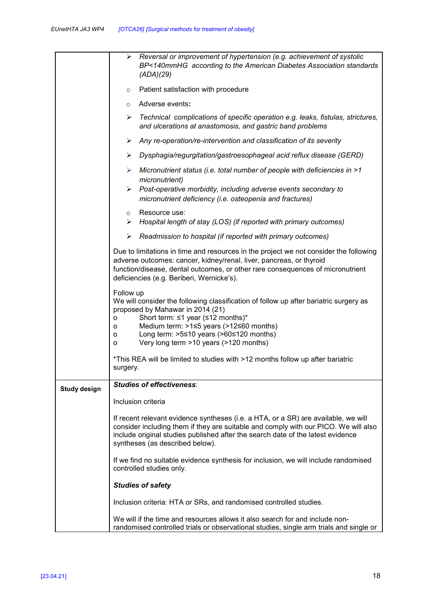|                     | Reversal or improvement of hypertension (e.g. achievement of systolic<br>➤<br>BP<140mmHG according to the American Diabetes Association standards<br>(ADA)(29)                                                                                                                                                                                    |  |  |  |  |
|---------------------|---------------------------------------------------------------------------------------------------------------------------------------------------------------------------------------------------------------------------------------------------------------------------------------------------------------------------------------------------|--|--|--|--|
|                     | Patient satisfaction with procedure<br>$\circ$                                                                                                                                                                                                                                                                                                    |  |  |  |  |
|                     | Adverse events:<br>$\circ$                                                                                                                                                                                                                                                                                                                        |  |  |  |  |
|                     | Technical complications of specific operation e.g. leaks, fistulas, strictures,<br>➤<br>and ulcerations at anastomosis, and gastric band problems                                                                                                                                                                                                 |  |  |  |  |
|                     | Any re-operation/re-intervention and classification of its severity<br>➤                                                                                                                                                                                                                                                                          |  |  |  |  |
|                     | Dysphagia/regurgitation/gastroesophageal acid reflux disease (GERD)<br>➤                                                                                                                                                                                                                                                                          |  |  |  |  |
|                     | Micronutrient status (i.e. total number of people with deficiencies in >1<br>➤<br>micronutrient)                                                                                                                                                                                                                                                  |  |  |  |  |
|                     | Post-operative morbidity, including adverse events secondary to<br>≻<br>micronutrient deficiency (i.e. osteopenia and fractures)                                                                                                                                                                                                                  |  |  |  |  |
|                     | Resource use:<br>$\circ$<br>Hospital length of stay (LOS) (if reported with primary outcomes)<br>➤                                                                                                                                                                                                                                                |  |  |  |  |
|                     | Readmission to hospital (if reported with primary outcomes)<br>➤                                                                                                                                                                                                                                                                                  |  |  |  |  |
|                     | Due to limitations in time and resources in the project we not consider the following<br>adverse outcomes: cancer, kidney/renal, liver, pancreas, or thyroid<br>function/disease, dental outcomes, or other rare consequences of micronutrient<br>deficiencies (e.g. Beriberi, Wernicke's).                                                       |  |  |  |  |
|                     | Follow up<br>We will consider the following classification of follow up after bariatric surgery as<br>proposed by Mahawar in 2014 (21)<br>Short term: $\leq 1$ year ( $\leq 12$ months)*<br>0<br>Medium term: >1≤5 years (>12≤60 months)<br>o<br>Long term: $>5≤10$ years ( $>60≤120$ months)<br>o<br>Very long term >10 years (>120 months)<br>O |  |  |  |  |
|                     | *This REA will be limited to studies with >12 months follow up after bariatric<br>surgery.                                                                                                                                                                                                                                                        |  |  |  |  |
| <b>Study design</b> | <b>Studies of effectiveness:</b>                                                                                                                                                                                                                                                                                                                  |  |  |  |  |
|                     | Inclusion criteria                                                                                                                                                                                                                                                                                                                                |  |  |  |  |
|                     | If recent relevant evidence syntheses (i.e. a HTA, or a SR) are available, we will<br>consider including them if they are suitable and comply with our PICO. We will also<br>include original studies published after the search date of the latest evidence<br>syntheses (as described below).                                                   |  |  |  |  |
|                     | If we find no suitable evidence synthesis for inclusion, we will include randomised<br>controlled studies only.                                                                                                                                                                                                                                   |  |  |  |  |
|                     | <b>Studies of safety</b>                                                                                                                                                                                                                                                                                                                          |  |  |  |  |
|                     | Inclusion criteria: HTA or SRs, and randomised controlled studies.                                                                                                                                                                                                                                                                                |  |  |  |  |
|                     | We will if the time and resources allows it also search for and include non-<br>randomised controlled trials or observational studies, single arm trials and single or                                                                                                                                                                            |  |  |  |  |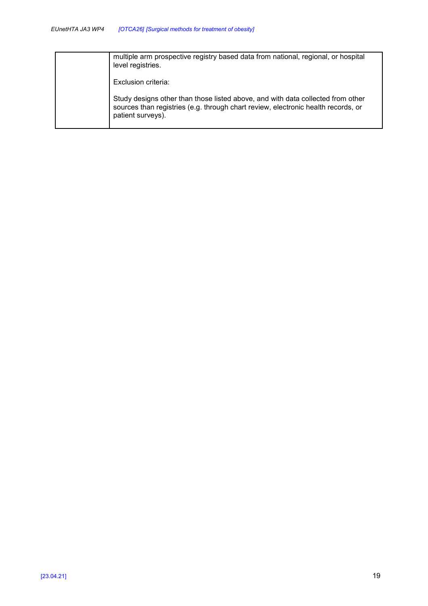| multiple arm prospective registry based data from national, regional, or hospital<br>level registries.                                                                                    |
|-------------------------------------------------------------------------------------------------------------------------------------------------------------------------------------------|
| Exclusion criteria:                                                                                                                                                                       |
| Study designs other than those listed above, and with data collected from other<br>sources than registries (e.g. through chart review, electronic health records, or<br>patient surveys). |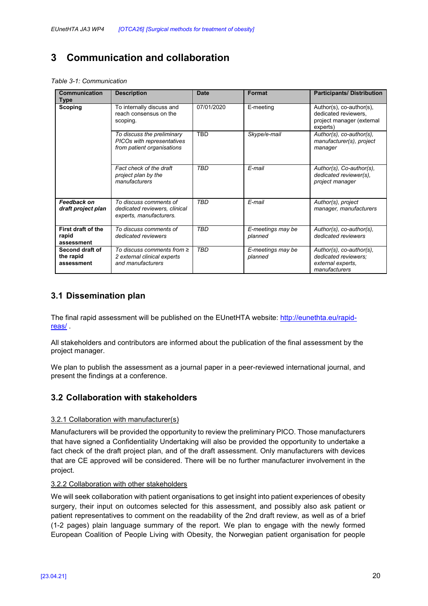# **3 Communication and collaboration**

*Table 3-1: Communication* 

| <b>Communication</b><br><b>Type</b>        | <b>Description</b>                                                                     | <b>Date</b> | Format                       | <b>Participants/Distribution</b>                                                          |
|--------------------------------------------|----------------------------------------------------------------------------------------|-------------|------------------------------|-------------------------------------------------------------------------------------------|
| Scoping                                    | To internally discuss and<br>reach consensus on the<br>scoping.                        | 07/01/2020  | E-meeting                    | Author(s), co-author(s),<br>dedicated reviewers,<br>project manager (external<br>experts) |
|                                            | To discuss the preliminary<br>PICOs with representatives<br>from patient organisations | <b>TBD</b>  | Skype/e-mail                 | Author(s), co-author(s),<br>manufacturer(s), project<br>manager                           |
|                                            | Fact check of the draft<br>project plan by the<br>manufacturers                        | <b>TBD</b>  | F-mail                       | Author(s), Co-author(s),<br>dedicated reviewer(s),<br>project manager                     |
| Feedback on<br>draft project plan          | To discuss comments of<br>dedicated reviewers, clinical<br>experts, manufacturers.     | <b>TBD</b>  | E-mail                       | Author(s), project<br>manager, manufacturers                                              |
| First draft of the<br>rapid<br>assessment  | To discuss comments of<br>dedicated reviewers                                          | <b>TBD</b>  | E-meetings may be<br>planned | Author(s), co-author(s),<br>dedicated reviewers                                           |
| Second draft of<br>the rapid<br>assessment | To discuss comments from $\geq$<br>2 external clinical experts<br>and manufacturers    | <b>TBD</b>  | E-meetings may be<br>planned | Author(s), co-author(s),<br>dedicated reviewers:<br>external experts.<br>manufacturers    |

## **3.1 Dissemination plan**

The final rapid assessment will be published on the EUnetHTA website: http://eunethta.eu/rapidreas/ .

All stakeholders and contributors are informed about the publication of the final assessment by the project manager.

We plan to publish the assessment as a journal paper in a peer-reviewed international journal, and present the findings at a conference.

## **3.2 Collaboration with stakeholders**

#### 3.2.1 Collaboration with manufacturer(s)

Manufacturers will be provided the opportunity to review the preliminary PICO. Those manufacturers that have signed a Confidentiality Undertaking will also be provided the opportunity to undertake a fact check of the draft project plan, and of the draft assessment. Only manufacturers with devices that are CE approved will be considered. There will be no further manufacturer involvement in the project.

#### 3.2.2 Collaboration with other stakeholders

We will seek collaboration with patient organisations to get insight into patient experiences of obesity surgery, their input on outcomes selected for this assessment, and possibly also ask patient or patient representatives to comment on the readability of the 2nd draft review, as well as of a brief (1-2 pages) plain language summary of the report. We plan to engage with the newly formed European Coalition of People Living with Obesity, the Norwegian patient organisation for people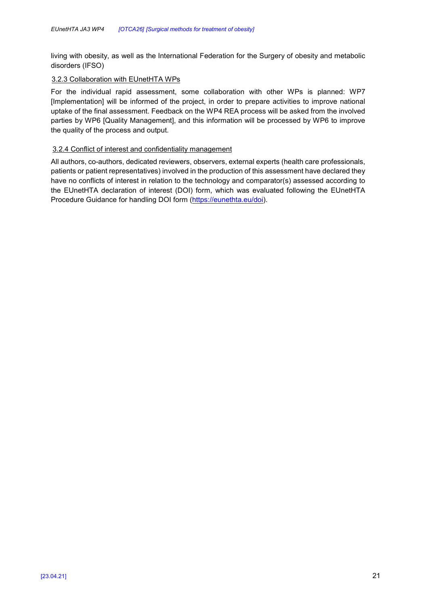living with obesity, as well as the International Federation for the Surgery of obesity and metabolic disorders (IFSO)

#### 3.2.3 Collaboration with EUnetHTA WPs

For the individual rapid assessment, some collaboration with other WPs is planned: WP7 [Implementation] will be informed of the project, in order to prepare activities to improve national uptake of the final assessment. Feedback on the WP4 REA process will be asked from the involved parties by WP6 [Quality Management], and this information will be processed by WP6 to improve the quality of the process and output.

#### 3.2.4 Conflict of interest and confidentiality management

All authors, co-authors, dedicated reviewers, observers, external experts (health care professionals, patients or patient representatives) involved in the production of this assessment have declared they have no conflicts of interest in relation to the technology and comparator(s) assessed according to the EUnetHTA declaration of interest (DOI) form, which was evaluated following the EUnetHTA Procedure Guidance for handling DOI form (https://eunethta.eu/doi).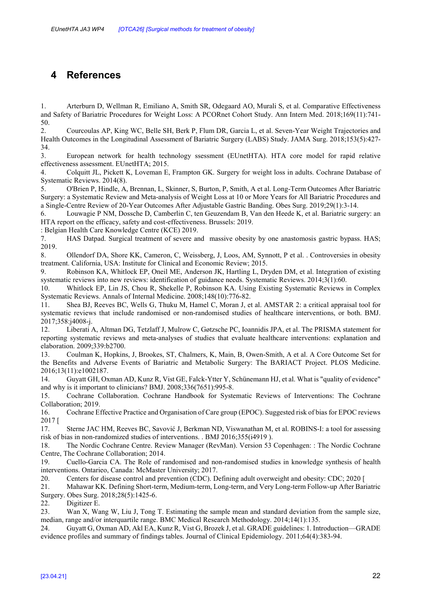# **4 References**

1. Arterburn D, Wellman R, Emiliano A, Smith SR, Odegaard AO, Murali S, et al. Comparative Effectiveness and Safety of Bariatric Procedures for Weight Loss: A PCORnet Cohort Study. Ann Intern Med. 2018;169(11):741- 50.

2. Courcoulas AP, King WC, Belle SH, Berk P, Flum DR, Garcia L, et al. Seven-Year Weight Trajectories and Health Outcomes in the Longitudinal Assessment of Bariatric Surgery (LABS) Study. JAMA Surg. 2018;153(5):427- 34.

3. European network for health technology ssessment (EUnetHTA). HTA core model for rapid relative effectiveness assessment. EUnetHTA; 2015.

4. Colquitt JL, Pickett K, Loveman E, Frampton GK. Surgery for weight loss in adults. Cochrane Database of Systematic Reviews. 2014(8).

5. O'Brien P, Hindle, A, Brennan, L, Skinner, S, Burton, P, Smith, A et al. Long-Term Outcomes After Bariatric Surgery: a Systematic Review and Meta-analysis of Weight Loss at 10 or More Years for All Bariatric Procedures and a Single-Centre Review of 20-Year Outcomes After Adjustable Gastric Banding. Obes Surg. 2019;29(1):3-14.

6. Louwagie P NM, Dossche D, Camberlin C, ten Geuzendam B, Van den Heede K, et al. Bariatric surgery: an HTA report on the efficacy, safety and cost-effectiveness. Brussels: 2019.

: Belgian Health Care Knowledge Centre (KCE) 2019.

7. HAS Datpad. Surgical treatment of severe and massive obesity by one anastomosis gastric bypass. HAS; 2019.

8. Ollendorf DA, Shore KK, Cameron, C, Weissberg, J, Loos, AM, Synnott, P et al. . Controversies in obesity treatment. California, USA: Institute for Clinical and Economic Review; 2015.

9. Robinson KA, Whitlock EP, Oneil ME, Anderson JK, Hartling L, Dryden DM, et al. Integration of existing systematic reviews into new reviews: identification of guidance needs. Systematic Reviews. 2014;3(1):60.

10. Whitlock EP, Lin JS, Chou R, Shekelle P, Robinson KA. Using Existing Systematic Reviews in Complex Systematic Reviews. Annals of Internal Medicine. 2008;148(10):776-82.

11. Shea BJ, Reeves BC, Wells G, Thuku M, Hamel C, Moran J, et al. AMSTAR 2: a critical appraisal tool for systematic reviews that include randomised or non-randomised studies of healthcare interventions, or both. BMJ. 2017;358:j4008-j.

12. Liberati A, Altman DG, Tetzlaff J, Mulrow C, Gøtzsche PC, Ioannidis JPA, et al. The PRISMA statement for reporting systematic reviews and meta-analyses of studies that evaluate healthcare interventions: explanation and elaboration. 2009;339:b2700.

13. Coulman K, Hopkins, J, Brookes, ST, Chalmers, K, Main, B, Owen-Smith, A et al. A Core Outcome Set for the Benefits and Adverse Events of Bariatric and Metabolic Surgery: The BARIACT Project. PLOS Medicine. 2016;13(11):e1002187.

14. Guyatt GH, Oxman AD, Kunz R, Vist GE, Falck-Ytter Y, Schünemann HJ, et al. What is "quality of evidence" and why is it important to clinicians? BMJ. 2008;336(7651):995-8.

15. Cochrane Collaboration. Cochrane Handbook for Systematic Reviews of Interventions: The Cochrane Collaboration; 2019.

16. Cochrane Effective Practice and Organisation of Care group (EPOC). Suggested risk of bias for EPOC reviews 2017 [

17. Sterne JAC HM, Reeves BC, Savović J, Berkman ND, Viswanathan M, et al. ROBINS-I: a tool for assessing risk of bias in non-randomized studies of interventions. . BMJ 2016;355(i4919 ).

18. The Nordic Cochrane Centre. Review Manager (RevMan). Version 53 Copenhagen: : The Nordic Cochrane Centre, The Cochrane Collaboration; 2014.

19. Cuello-Garcia CA. The Role of randomised and non-randomised studies in knowledge synthesis of health interventions. Ontarieo, Canada: McMaster University; 2017.

20. Centers for disease control and prevention (CDC). Defining adult overweight and obesity: CDC; 2020 [

21. Mahawar KK. Defining Short-term, Medium-term, Long-term, and Very Long-term Follow-up After Bariatric Surgery. Obes Surg. 2018;28(5):1425-6.

22. Digitizer E.

23. Wan X, Wang W, Liu J, Tong T. Estimating the sample mean and standard deviation from the sample size, median, range and/or interquartile range. BMC Medical Research Methodology. 2014;14(1):135.

24. Guyatt G, Oxman AD, Akl EA, Kunz R, Vist G, Brozek J, et al. GRADE guidelines: 1. Introduction—GRADE evidence profiles and summary of findings tables. Journal of Clinical Epidemiology. 2011;64(4):383-94.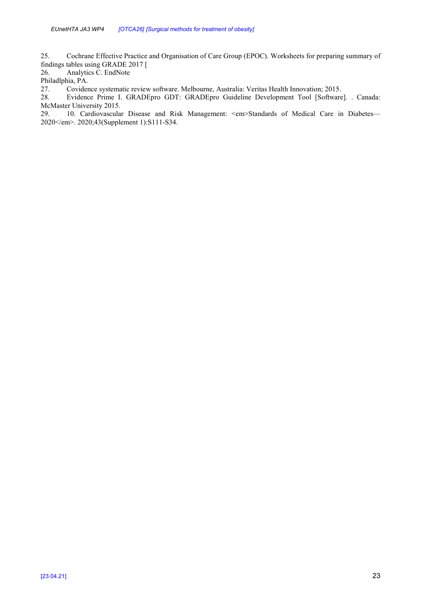25. Cochrane Effective Practice and Organisation of Care Group (EPOC). Worksheets for preparing summary of findings tables using GRADE 2017 [

26. Analytics C. EndNote

Philadlphia, PA.

27. Covidence systematic review software. Melbourne, Australia: Veritas Health Innovation; 2015.<br>28. Evidence Prime I. GRADEpro GDT: GRADEpro Guideline Development Tool [Software

Evidence Prime I. GRADEpro GDT: GRADEpro Guideline Development Tool [Software]. . Canada: McMaster University 2015.<br>29. 10. Cardiovascula

10. Cardiovascular Disease and Risk Management: <em>Standards of Medical Care in Diabetes— 2020</em>. 2020;43(Supplement 1):S111-S34.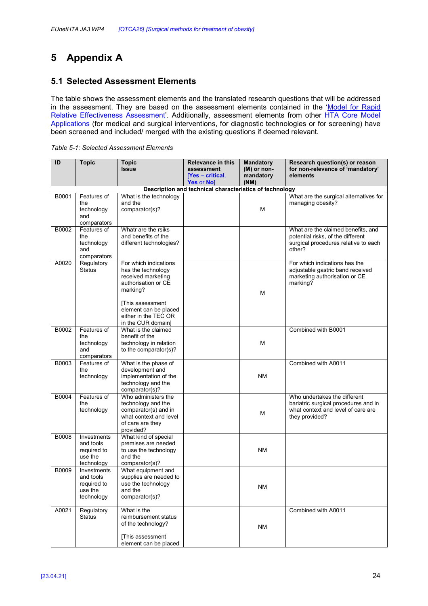# **5 Appendix A**

## **5.1 Selected Assessment Elements**

The table shows the assessment elements and the translated research questions that will be addressed in the assessment. They are based on the assessment elements contained in the 'Model for Rapid Relative Effectiveness Assessment'. Additionally, assessment elements from other HTA Core Model Applications (for medical and surgical interventions, for diagnostic technologies or for screening) have been screened and included/ merged with the existing questions if deemed relevant.

|  | Table 5-1: Selected Assessment Elements |  |
|--|-----------------------------------------|--|
|  |                                         |  |

| ID    | <b>Topic</b>               | <b>Topic</b>                                  | <b>Relevance in this</b>                                | <b>Mandatory</b> | Research question(s) or reason                                             |
|-------|----------------------------|-----------------------------------------------|---------------------------------------------------------|------------------|----------------------------------------------------------------------------|
|       |                            | <b>Issue</b>                                  | assessment                                              | (M) or non-      | for non-relevance of 'mandatory'                                           |
|       |                            |                                               | [Yes – critical,                                        | mandatory        | elements                                                                   |
|       |                            |                                               | Yes or No]                                              | (NM)             |                                                                            |
| B0001 |                            |                                               | Description and technical characteristics of technology |                  | What are the surgical alternatives for                                     |
|       | Features of<br>the         | What is the technology<br>and the             |                                                         |                  | managing obesity?                                                          |
|       | technology                 | comparator(s)?                                |                                                         | M                |                                                                            |
|       | and                        |                                               |                                                         |                  |                                                                            |
|       | comparators                |                                               |                                                         |                  |                                                                            |
| B0002 | Features of                | Whatr are the rsiks                           |                                                         |                  | What are the claimed benefits, and                                         |
|       | the                        | and benefits of the                           |                                                         |                  | potential risks, of the different                                          |
|       | technology                 | different technologies?                       |                                                         |                  | surgical procedures relative to each                                       |
|       | and<br>comparators         |                                               |                                                         |                  | other?                                                                     |
| A0020 | Regulatory                 | For which indications                         |                                                         |                  | For which indications has the                                              |
|       | <b>Status</b>              | has the technology                            |                                                         |                  | adjustable gastric band received                                           |
|       |                            | received marketing                            |                                                         |                  | marketing authorisation or CE                                              |
|       |                            | authorisation or CE                           |                                                         |                  | marking?                                                                   |
|       |                            | marking?                                      |                                                         | M                |                                                                            |
|       |                            |                                               |                                                         |                  |                                                                            |
|       |                            | [This assessment                              |                                                         |                  |                                                                            |
|       |                            | element can be placed<br>either in the TEC OR |                                                         |                  |                                                                            |
|       |                            | in the CUR domain]                            |                                                         |                  |                                                                            |
| B0002 | Features of                | What is the claimed                           |                                                         |                  | Combined with B0001                                                        |
|       | the                        | benefit of the                                |                                                         |                  |                                                                            |
|       | technology                 | technology in relation                        |                                                         | M                |                                                                            |
|       | and                        | to the comparator(s)?                         |                                                         |                  |                                                                            |
| B0003 | comparators<br>Features of | What is the phase of                          |                                                         |                  | Combined with A0011                                                        |
|       | the                        | development and                               |                                                         |                  |                                                                            |
|       | technology                 | implementation of the                         |                                                         | <b>NM</b>        |                                                                            |
|       |                            | technology and the                            |                                                         |                  |                                                                            |
|       |                            | comparator(s)?                                |                                                         |                  |                                                                            |
| B0004 | Features of                | Who administers the                           |                                                         |                  | Who undertakes the different                                               |
|       | the                        | technology and the<br>comparator(s) and in    |                                                         |                  | bariatric surgical procedures and in<br>what context and level of care are |
|       | technology                 | what context and level                        |                                                         | М                | they provided?                                                             |
|       |                            | of care are they                              |                                                         |                  |                                                                            |
|       |                            | provided?                                     |                                                         |                  |                                                                            |
| B0008 | Investments                | What kind of special                          |                                                         |                  |                                                                            |
|       | and tools                  | premises are needed                           |                                                         |                  |                                                                            |
|       | required to                | to use the technology                         |                                                         | ΝM               |                                                                            |
|       | use the<br>technology      | and the<br>comparator(s)?                     |                                                         |                  |                                                                            |
| B0009 | Investments                | What equipment and                            |                                                         |                  |                                                                            |
|       | and tools                  | supplies are needed to                        |                                                         |                  |                                                                            |
|       | required to                | use the technology                            |                                                         | <b>NM</b>        |                                                                            |
|       | use the                    | and the                                       |                                                         |                  |                                                                            |
|       | technology                 | comparator(s)?                                |                                                         |                  |                                                                            |
| A0021 | Regulatory                 | What is the                                   |                                                         |                  | Combined with A0011                                                        |
|       | <b>Status</b>              | reimbursement status                          |                                                         |                  |                                                                            |
|       |                            | of the technology?                            |                                                         | ΝM               |                                                                            |
|       |                            |                                               |                                                         |                  |                                                                            |
|       |                            | [This assessment                              |                                                         |                  |                                                                            |
|       |                            | element can be placed                         |                                                         |                  |                                                                            |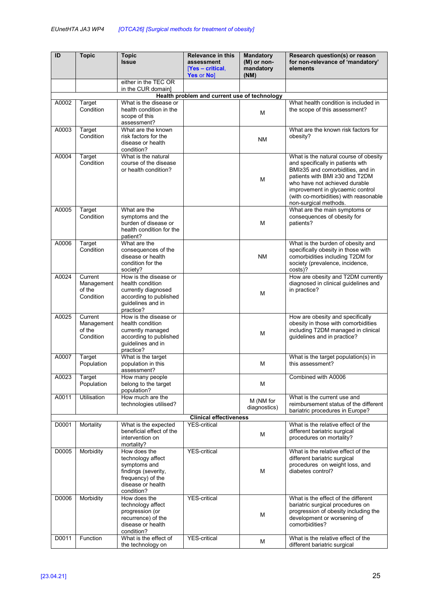| ID    | <b>Topic</b>         | <b>Topic</b>                                | <b>Relevance in this</b>                     | <b>Mandatory</b>                 | Research question(s) or reason                                            |                                      |
|-------|----------------------|---------------------------------------------|----------------------------------------------|----------------------------------|---------------------------------------------------------------------------|--------------------------------------|
|       |                      | <b>Issue</b>                                | assessment<br>[Yes – critical,<br>Yes or No] | (M) or non-<br>mandatory<br>(NM) | for non-relevance of 'mandatory'<br>elements                              |                                      |
|       |                      | either in the TEC OR                        |                                              |                                  |                                                                           |                                      |
|       |                      | in the CUR domain]                          | Health problem and current use of technology |                                  |                                                                           |                                      |
| A0002 | Target               | What is the disease or                      |                                              |                                  | What health condition is included in                                      |                                      |
|       | Condition            | health condition in the                     |                                              | м                                | the scope of this assessment?                                             |                                      |
|       |                      | scope of this                               |                                              |                                  |                                                                           |                                      |
| A0003 | Target               | assessment?<br>What are the known           |                                              |                                  | What are the known risk factors for                                       |                                      |
|       | Condition            | risk factors for the                        |                                              | <b>NM</b>                        | obesity?                                                                  |                                      |
|       |                      | disease or health                           |                                              |                                  |                                                                           |                                      |
|       | Target               | condition?<br>What is the natural           |                                              |                                  |                                                                           |                                      |
| A0004 | Condition            | course of the disease                       |                                              |                                  | What is the natural course of obesity<br>and specifically in patients wth |                                      |
|       |                      | or health condition?                        |                                              |                                  | BMI≥35 and comorbidities, and in                                          |                                      |
|       |                      |                                             |                                              | м                                | patients with BMI ≥30 and T2DM                                            |                                      |
|       |                      |                                             |                                              |                                  | who have not achieved durable                                             |                                      |
|       |                      |                                             |                                              |                                  | improvement in glycaemic control<br>(with co-morbidities) with reasonable |                                      |
|       |                      |                                             |                                              |                                  | non-surgical methods.                                                     |                                      |
| A0005 | Target               | What are the                                |                                              |                                  | What are the main symptoms or                                             |                                      |
|       | Condition            | symptoms and the<br>burden of disease or    |                                              | M                                | consequences of obesity for<br>patients?                                  |                                      |
|       |                      | health condition for the                    |                                              |                                  |                                                                           |                                      |
|       |                      | patient?                                    |                                              |                                  |                                                                           |                                      |
| A0006 | Target               | What are the                                |                                              |                                  | What is the burden of obesity and                                         |                                      |
|       | Condition            | consequences of the<br>disease or health    |                                              | <b>NM</b>                        | specifically obesity in those with<br>comorbidities including T2DM for    |                                      |
|       |                      | condition for the                           |                                              |                                  | society (prevalence, incidence,                                           |                                      |
|       |                      | society?                                    |                                              |                                  | costs)?                                                                   |                                      |
| A0024 | Current              | How is the disease or                       |                                              |                                  | How are obesity and T2DM currently                                        |                                      |
|       | Management<br>of the | health condition<br>currently diagnosed     |                                              |                                  | diagnosed in clinical guidelines and<br>in practice?                      |                                      |
|       | Condition            | according to published                      |                                              | M                                |                                                                           |                                      |
|       |                      | guidelines and in                           |                                              |                                  |                                                                           |                                      |
| A0025 | Current              | practice?<br>How is the disease or          |                                              |                                  | How are obesity and specifically                                          |                                      |
|       | Management           | health condition                            |                                              |                                  | obesity in those with comorbidities                                       |                                      |
|       | of the               | currently managed                           |                                              | м                                | including T2DM managed in clinical                                        |                                      |
|       | Condition            | according to published                      |                                              |                                  | guidelines and in practice?                                               |                                      |
|       |                      | guidelines and in<br>practice?              |                                              |                                  |                                                                           |                                      |
| A0007 | Target               | What is the target                          |                                              |                                  | What is the target population(s) in                                       |                                      |
|       | Population           | population in this                          |                                              | м                                | this assessment?                                                          |                                      |
| A0023 | Target               | assessment?<br>How many people              |                                              |                                  | Combined with A0006                                                       |                                      |
|       | Population           | belong to the target                        |                                              | м                                |                                                                           |                                      |
|       |                      | population?                                 |                                              |                                  |                                                                           |                                      |
| A0011 | <b>Utilisation</b>   | How much are the                            |                                              | M (NM for                        | What is the current use and                                               |                                      |
|       |                      | technologies utilised?                      |                                              | diagnostics)                     | reimbursement status of the different<br>bariatric procedures in Europe?  |                                      |
|       |                      |                                             | <b>Clinical effectiveness</b>                |                                  |                                                                           |                                      |
| D0001 | Mortality            | What is the expected                        | <b>YES-critical</b>                          |                                  | What is the relative effect of the                                        |                                      |
|       |                      | beneficial effect of the<br>intervention on |                                              | м                                | different bariatric surgical                                              |                                      |
|       |                      | mortality?                                  |                                              |                                  | procedures on mortality?                                                  |                                      |
| D0005 | Morbidity            | How does the                                | <b>YES-critical</b>                          |                                  | What is the relative effect of the                                        |                                      |
|       |                      | technology affect                           |                                              |                                  | different bariatric surgical                                              |                                      |
|       |                      | symptoms and<br>findings (severity,         |                                              | м                                | procedures on weight loss, and<br>diabetes control?                       |                                      |
|       |                      | frequency) of the                           |                                              |                                  |                                                                           |                                      |
|       |                      | disease or health                           |                                              |                                  |                                                                           |                                      |
|       |                      | condition?                                  |                                              |                                  |                                                                           |                                      |
| D0006 | Morbidity            | How does the<br>technology affect           | <b>YES-critical</b>                          |                                  | What is the effect of the different<br>bariatric surgical procedures on   |                                      |
|       |                      | progression (or                             |                                              |                                  |                                                                           | progression of obesity including the |
|       |                      | recurrence) of the                          |                                              | м                                | development or worsening of                                               |                                      |
|       |                      | disease or health                           |                                              |                                  | comorbidities?                                                            |                                      |
| D0011 | Function             | condition?<br>What is the effect of         | <b>YES-critical</b>                          |                                  | What is the relative effect of the                                        |                                      |
|       |                      | the technology on                           |                                              | М                                | different bariatric surgical                                              |                                      |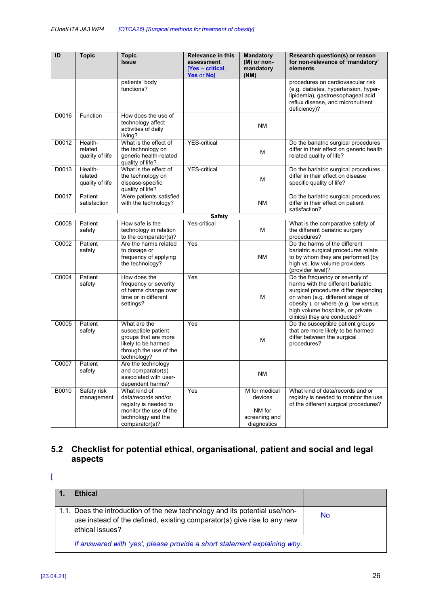| ID    | <b>Topic</b>                          | <b>Topic</b><br><b>Issue</b>                                                                                                   | <b>Relevance in this</b><br>assessment | <b>Mandatory</b><br>(M) or non-                                    | Research question(s) or reason<br>for non-relevance of 'mandatory'                                                                                                                                                                                            |
|-------|---------------------------------------|--------------------------------------------------------------------------------------------------------------------------------|----------------------------------------|--------------------------------------------------------------------|---------------------------------------------------------------------------------------------------------------------------------------------------------------------------------------------------------------------------------------------------------------|
|       |                                       |                                                                                                                                | $Yes$ – critical,<br>Yes or No]        | mandatory<br>(NM)                                                  | elements                                                                                                                                                                                                                                                      |
|       |                                       | patients' body<br>functions?                                                                                                   |                                        |                                                                    | procedures on cardiovascular risk<br>(e.g. diabetes, hypertension, hyper-<br>lipidemia), gastroesophageal acid<br>reflux disease, and micronutrient<br>deficiency)?                                                                                           |
| D0016 | Function                              | How does the use of<br>technology affect<br>activities of daily<br>living?                                                     |                                        | <b>NM</b>                                                          |                                                                                                                                                                                                                                                               |
| D0012 | Health-<br>related<br>quality of life | What is the effect of<br>the technology on<br>generic health-related<br>quality of life?                                       | <b>YES-critical</b>                    | м                                                                  | Do the bariatric surgical procedures<br>differ in their effect on generic health<br>related quality of life?                                                                                                                                                  |
| D0013 | Health-<br>related<br>quality of life | What is the effect of<br>the technology on<br>disease-specific<br>quality of life?                                             | <b>YES-critical</b>                    | М                                                                  | Do the bariatric surgical procedures<br>differ in their effect on disease<br>specific quality of life?                                                                                                                                                        |
| D0017 | Patient<br>satisfaction               | Were patients satisfied<br>with the technology?                                                                                |                                        | <b>NM</b>                                                          | Do the bariatric surgical procedures<br>differ in their effect on patient<br>satisfaction?                                                                                                                                                                    |
|       |                                       |                                                                                                                                | <b>Safety</b>                          |                                                                    |                                                                                                                                                                                                                                                               |
| C0008 | Patient<br>safety                     | How safe is the<br>technology in relation<br>to the comparator(s)?                                                             | Yes-critical                           | м                                                                  | What is the comparative safety of<br>the different bariatric surgery<br>procedures?                                                                                                                                                                           |
| C0002 | Patient<br>safety                     | Are the harms related<br>to dosage or<br>frequency of applying<br>the technology?                                              | Yes                                    | <b>NM</b>                                                          | Do the harms of the different<br>bariatric surgical procedures relate<br>to by whom they are performed (by<br>high vs. low volume providers<br>(provider level)?                                                                                              |
| C0004 | Patient<br>safety                     | How does the<br>frequency or severity<br>of harms change over<br>time or in different<br>settings?                             | Yes                                    | М                                                                  | Do the frequency or severity of<br>harms with the different bariatric<br>surgical procedures differ depending<br>on when (e.g. different stage of<br>obesity), or where (e.g. low versus<br>high volume hospitals, or private<br>clinics) they are conducted? |
| C0005 | Patient<br>safety                     | What are the<br>susceptible patient<br>groups that are more<br>likely to be harmed<br>through the use of the<br>technology?    | Yes                                    | M                                                                  | Do the susceptible patient groups<br>that are more likely to be harmed<br>differ between the surgical<br>procedures?                                                                                                                                          |
| C0007 | Patient<br>safety                     | Are the technology<br>and comparator(s)<br>associated with user-<br>dependent harms?                                           |                                        | <b>NM</b>                                                          |                                                                                                                                                                                                                                                               |
| B0010 | Safety risk<br>management             | What kind of<br>data/records and/or<br>registry is needed to<br>monitor the use of the<br>technology and the<br>comparator(s)? | Yes                                    | M for medical<br>devices<br>NM for<br>screening and<br>diagnostics | What kind of data/records and or<br>registry is needed to monitor the use<br>of the different surgical procedures?                                                                                                                                            |

## **5.2 Checklist for potential ethical, organisational, patient and social and legal aspects**

 $\mathbf{I}$ 

| <b>Ethical</b>                                                                                                                                                            |           |
|---------------------------------------------------------------------------------------------------------------------------------------------------------------------------|-----------|
| 1.1. Does the introduction of the new technology and its potential use/non-<br>use instead of the defined, existing comparator(s) give rise to any new<br>ethical issues? | <b>No</b> |
| If answered with 'yes', please provide a short statement explaining why.                                                                                                  |           |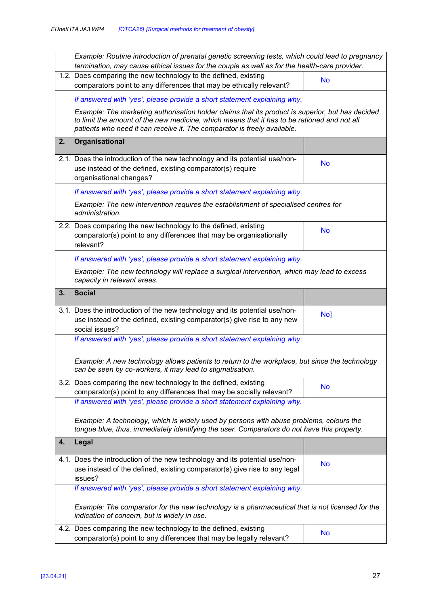|    | Example: Routine introduction of prenatal genetic screening tests, which could lead to pregnancy<br>termination, may cause ethical issues for the couple as well as for the health-care provider.                                                                           |           |  |  |  |
|----|-----------------------------------------------------------------------------------------------------------------------------------------------------------------------------------------------------------------------------------------------------------------------------|-----------|--|--|--|
|    | 1.2. Does comparing the new technology to the defined, existing<br>comparators point to any differences that may be ethically relevant?                                                                                                                                     | <b>No</b> |  |  |  |
|    | If answered with 'yes', please provide a short statement explaining why.                                                                                                                                                                                                    |           |  |  |  |
|    | Example: The marketing authorisation holder claims that its product is superior, but has decided<br>to limit the amount of the new medicine, which means that it has to be rationed and not all<br>patients who need it can receive it. The comparator is freely available. |           |  |  |  |
| 2. | Organisational                                                                                                                                                                                                                                                              |           |  |  |  |
|    | 2.1. Does the introduction of the new technology and its potential use/non-<br>use instead of the defined, existing comparator(s) require<br>organisational changes?                                                                                                        | <b>No</b> |  |  |  |
|    | If answered with 'yes', please provide a short statement explaining why.                                                                                                                                                                                                    |           |  |  |  |
|    | Example: The new intervention requires the establishment of specialised centres for<br>administration.                                                                                                                                                                      |           |  |  |  |
|    | 2.2. Does comparing the new technology to the defined, existing<br>comparator(s) point to any differences that may be organisationally<br>relevant?                                                                                                                         | <b>No</b> |  |  |  |
|    | If answered with 'yes', please provide a short statement explaining why.                                                                                                                                                                                                    |           |  |  |  |
|    | Example: The new technology will replace a surgical intervention, which may lead to excess<br>capacity in relevant areas.                                                                                                                                                   |           |  |  |  |
| 3. | <b>Social</b>                                                                                                                                                                                                                                                               |           |  |  |  |
|    | 3.1. Does the introduction of the new technology and its potential use/non-<br>use instead of the defined, existing comparator(s) give rise to any new<br>social issues?                                                                                                    | No]       |  |  |  |
|    | If answered with 'yes', please provide a short statement explaining why.                                                                                                                                                                                                    |           |  |  |  |
|    | Example: A new technology allows patients to return to the workplace, but since the technology<br>can be seen by co-workers, it may lead to stigmatisation.                                                                                                                 |           |  |  |  |
|    | 3.2. Does comparing the new technology to the defined, existing<br>comparator(s) point to any differences that may be socially relevant?                                                                                                                                    | <b>No</b> |  |  |  |
|    | If answered with 'yes', please provide a short statement explaining why.                                                                                                                                                                                                    |           |  |  |  |
|    | Example: A technology, which is widely used by persons with abuse problems, colours the<br>tongue blue, thus, immediately identifying the user. Comparators do not have this property.                                                                                      |           |  |  |  |
| 4. | Legal                                                                                                                                                                                                                                                                       |           |  |  |  |
|    | 4.1. Does the introduction of the new technology and its potential use/non-<br>use instead of the defined, existing comparator(s) give rise to any legal<br>issues?                                                                                                         | <b>No</b> |  |  |  |
|    | If answered with 'yes', please provide a short statement explaining why.                                                                                                                                                                                                    |           |  |  |  |
|    | Example: The comparator for the new technology is a pharmaceutical that is not licensed for the<br>indication of concern, but is widely in use.                                                                                                                             |           |  |  |  |
|    | 4.2. Does comparing the new technology to the defined, existing<br>comparator(s) point to any differences that may be legally relevant?                                                                                                                                     | <b>No</b> |  |  |  |